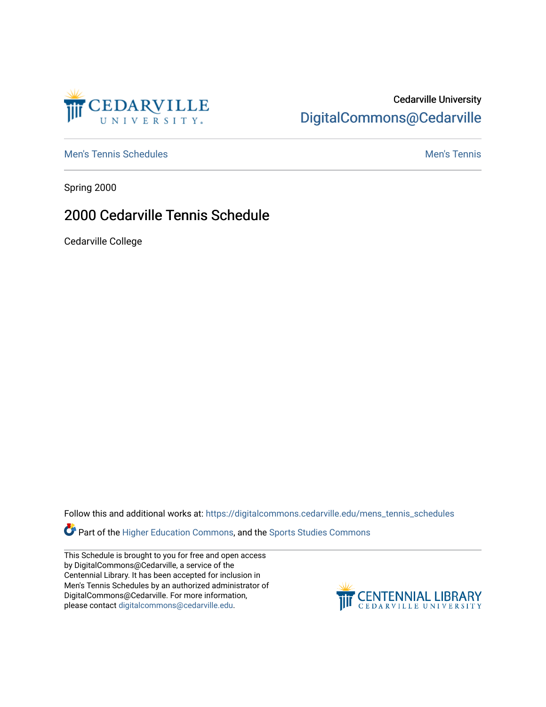

### Cedarville University [DigitalCommons@Cedarville](https://digitalcommons.cedarville.edu/)

[Men's Tennis Schedules](https://digitalcommons.cedarville.edu/mens_tennis_schedules) [Men's Tennis](https://digitalcommons.cedarville.edu/mens_tennis) Schedules Men's Tennis Schedules Men's Tennis

Spring 2000

### 2000 Cedarville Tennis Schedule

Cedarville College

Follow this and additional works at: [https://digitalcommons.cedarville.edu/mens\\_tennis\\_schedules](https://digitalcommons.cedarville.edu/mens_tennis_schedules?utm_source=digitalcommons.cedarville.edu%2Fmens_tennis_schedules%2F35&utm_medium=PDF&utm_campaign=PDFCoverPages) 

Part of the [Higher Education Commons,](http://network.bepress.com/hgg/discipline/1245?utm_source=digitalcommons.cedarville.edu%2Fmens_tennis_schedules%2F35&utm_medium=PDF&utm_campaign=PDFCoverPages) and the Sports Studies Commons

This Schedule is brought to you for free and open access by DigitalCommons@Cedarville, a service of the Centennial Library. It has been accepted for inclusion in Men's Tennis Schedules by an authorized administrator of DigitalCommons@Cedarville. For more information, please contact [digitalcommons@cedarville.edu](mailto:digitalcommons@cedarville.edu).